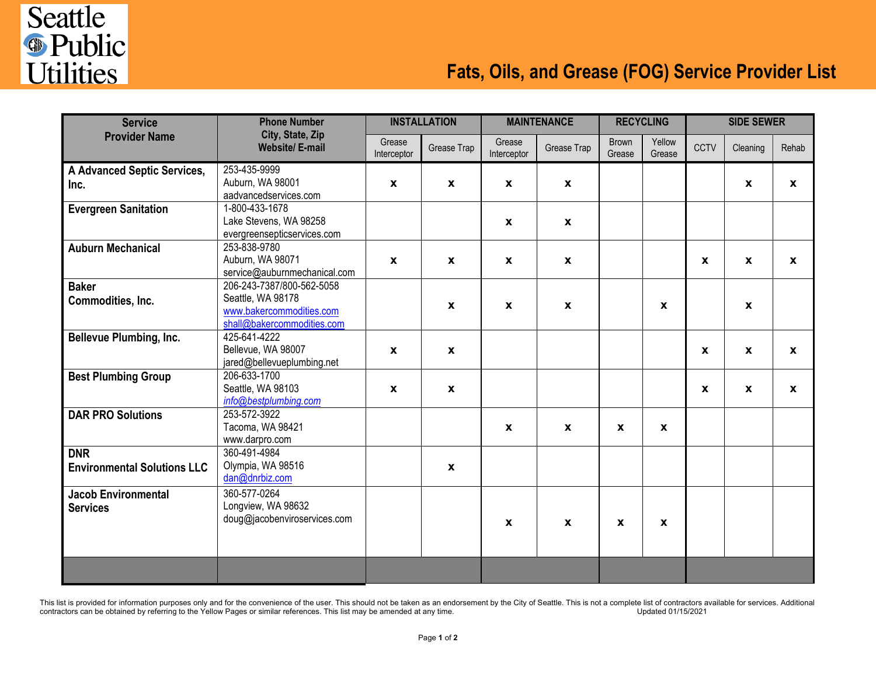

## **Fats, Oils, and Grease (FOG) Service Provider List**

| <b>Service</b><br><b>Provider Name</b> | <b>Phone Number</b><br>City, State, Zip<br><b>Website/E-mail</b> | <b>INSTALLATION</b>   |                           | <b>MAINTENANCE</b>        |                    | <b>RECYCLING</b>       |                  | <b>SIDE SEWER</b> |              |                  |
|----------------------------------------|------------------------------------------------------------------|-----------------------|---------------------------|---------------------------|--------------------|------------------------|------------------|-------------------|--------------|------------------|
|                                        |                                                                  | Grease<br>Interceptor | Grease Trap               | Grease<br>Interceptor     | Grease Trap        | <b>Brown</b><br>Grease | Yellow<br>Grease | CCTV              | Cleaning     | Rehab            |
| A Advanced Septic Services,            | 253-435-9999                                                     |                       |                           |                           |                    |                        |                  |                   |              |                  |
| Inc.                                   | Auburn, WA 98001<br>aadvancedservices.com                        | $\mathbf{x}$          | $\mathbf{x}$              | $\mathbf{x}$              | $\mathbf{x}$       |                        |                  |                   | $\mathbf{x}$ | $\boldsymbol{x}$ |
| <b>Evergreen Sanitation</b>            | 1-800-433-1678                                                   |                       |                           |                           |                    |                        |                  |                   |              |                  |
|                                        | Lake Stevens, WA 98258                                           |                       |                           | $\boldsymbol{x}$          | $\mathbf{x}$       |                        |                  |                   |              |                  |
|                                        | evergreensepticservices.com                                      |                       |                           |                           |                    |                        |                  |                   |              |                  |
| <b>Auburn Mechanical</b>               | 253-838-9780                                                     |                       |                           |                           |                    |                        |                  |                   |              |                  |
|                                        | Auburn, WA 98071                                                 | $\pmb{\chi}$          | $\mathbf{x}$              | $\boldsymbol{\mathsf{X}}$ | $\pmb{\mathsf{x}}$ |                        |                  | $\mathbf{x}$      | $\mathbf{x}$ | $\mathbf{x}$     |
|                                        | service@auburnmechanical.com                                     |                       |                           |                           |                    |                        |                  |                   |              |                  |
| <b>Baker</b>                           | 206-243-7387/800-562-5058                                        |                       |                           |                           |                    |                        |                  |                   |              |                  |
| Commodities, Inc.                      | Seattle, WA 98178                                                |                       | $\mathbf{x}$              | $\boldsymbol{\mathsf{x}}$ | X                  |                        | X                |                   | $\mathbf{x}$ |                  |
|                                        | www.bakercommodities.com                                         |                       |                           |                           |                    |                        |                  |                   |              |                  |
|                                        | shall@bakercommodities.com<br>425-641-4222                       |                       |                           |                           |                    |                        |                  |                   |              |                  |
| Bellevue Plumbing, Inc.                | Bellevue, WA 98007                                               | $\mathbf{x}$          |                           |                           |                    |                        |                  | $\mathbf{x}$      |              |                  |
|                                        | jared@bellevueplumbing.net                                       |                       | $\boldsymbol{\mathsf{x}}$ |                           |                    |                        |                  |                   | $\pmb{\chi}$ | $\boldsymbol{x}$ |
| <b>Best Plumbing Group</b>             | 206-633-1700                                                     |                       |                           |                           |                    |                        |                  |                   |              |                  |
|                                        | Seattle, WA 98103                                                | $\mathbf{x}$          | $\boldsymbol{\mathsf{x}}$ |                           |                    |                        |                  | $\mathbf{x}$      | $\pmb{\chi}$ | $\boldsymbol{x}$ |
|                                        | info@bestplumbing.com                                            |                       |                           |                           |                    |                        |                  |                   |              |                  |
| <b>DAR PRO Solutions</b>               | 253-572-3922                                                     |                       |                           |                           |                    |                        |                  |                   |              |                  |
|                                        | Tacoma, WA 98421                                                 |                       |                           | $\boldsymbol{\mathsf{X}}$ | $\pmb{\chi}$       | X                      | $\mathbf{x}$     |                   |              |                  |
|                                        | www.darpro.com                                                   |                       |                           |                           |                    |                        |                  |                   |              |                  |
| <b>DNR</b>                             | 360-491-4984                                                     |                       |                           |                           |                    |                        |                  |                   |              |                  |
| <b>Environmental Solutions LLC</b>     | Olympia, WA 98516                                                |                       | $\mathbf{x}$              |                           |                    |                        |                  |                   |              |                  |
|                                        | dan@dnrbiz.com                                                   |                       |                           |                           |                    |                        |                  |                   |              |                  |
| <b>Jacob Environmental</b>             | 360-577-0264                                                     |                       |                           |                           |                    |                        |                  |                   |              |                  |
| <b>Services</b>                        | Longview, WA 98632                                               |                       |                           |                           |                    |                        |                  |                   |              |                  |
|                                        | doug@jacobenviroservices.com                                     |                       |                           | $\mathbf{x}$              | $\mathbf{x}$       | X                      | X                |                   |              |                  |
|                                        |                                                                  |                       |                           |                           |                    |                        |                  |                   |              |                  |
|                                        |                                                                  |                       |                           |                           |                    |                        |                  |                   |              |                  |
|                                        |                                                                  |                       |                           |                           |                    |                        |                  |                   |              |                  |
|                                        |                                                                  |                       |                           |                           |                    |                        |                  |                   |              |                  |

This list is provided for information purposes only and for the convenience of the user. This should not be taken as an endorsement by the City of Seattle. This is not a complete list of contractors available for services. contractors can be obtained by referring to the Yellow Pages or similar references. This list may be amended at any time.